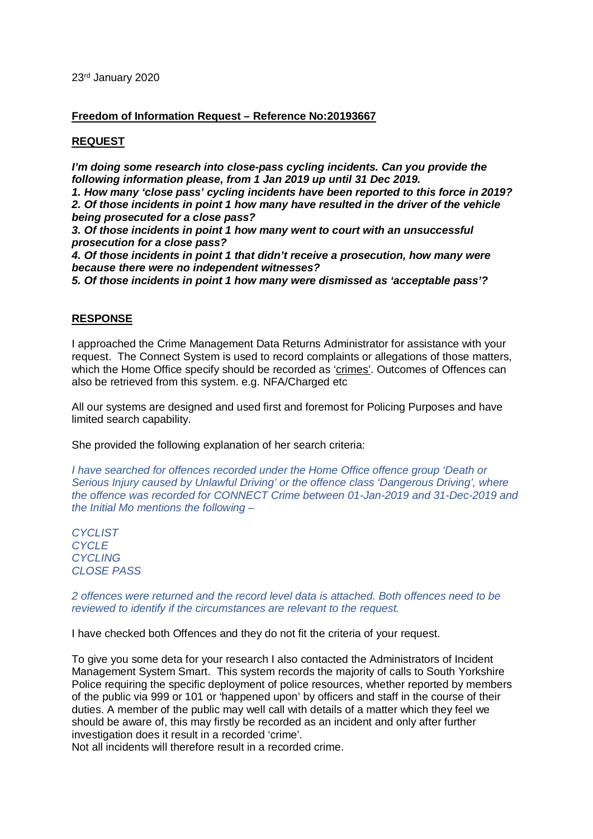23rd January 2020

## **Freedom of Information Request – Reference No:20193667**

## **REQUEST**

*I'm doing some research into close-pass cycling incidents. Can you provide the following information please, from 1 Jan 2019 up until 31 Dec 2019.* 

*1. How many 'close pass' cycling incidents have been reported to this force in 2019?* 

*2. Of those incidents in point 1 how many have resulted in the driver of the vehicle being prosecuted for a close pass?* 

*3. Of those incidents in point 1 how many went to court with an unsuccessful prosecution for a close pass?* 

*4. Of those incidents in point 1 that didn't receive a prosecution, how many were because there were no independent witnesses?* 

*5. Of those incidents in point 1 how many were dismissed as 'acceptable pass'?*

## **RESPONSE**

I approached the Crime Management Data Returns Administrator for assistance with your request. The Connect System is used to record complaints or allegations of those matters, which the Home Office specify should be recorded as 'crimes'. Outcomes of Offences can also be retrieved from this system. e.g. NFA/Charged etc

All our systems are designed and used first and foremost for Policing Purposes and have limited search capability.

She provided the following explanation of her search criteria:

*I have searched for offences recorded under the Home Office offence group 'Death or Serious Injury caused by Unlawful Driving' or the offence class 'Dangerous Driving', where the offence was recorded for CONNECT Crime between 01-Jan-2019 and 31-Dec-2019 and the Initial Mo mentions the following –*

*CYCLIST CYCLE CYCLING CLOSE PASS*

*2 offences were returned and the record level data is attached. Both offences need to be reviewed to identify if the circumstances are relevant to the request.*

I have checked both Offences and they do not fit the criteria of your request.

To give you some deta for your research I also contacted the Administrators of Incident Management System Smart. This system records the majority of calls to South Yorkshire Police requiring the specific deployment of police resources, whether reported by members of the public via 999 or 101 or 'happened upon' by officers and staff in the course of their duties. A member of the public may well call with details of a matter which they feel we should be aware of, this may firstly be recorded as an incident and only after further investigation does it result in a recorded 'crime'.

Not all incidents will therefore result in a recorded crime.